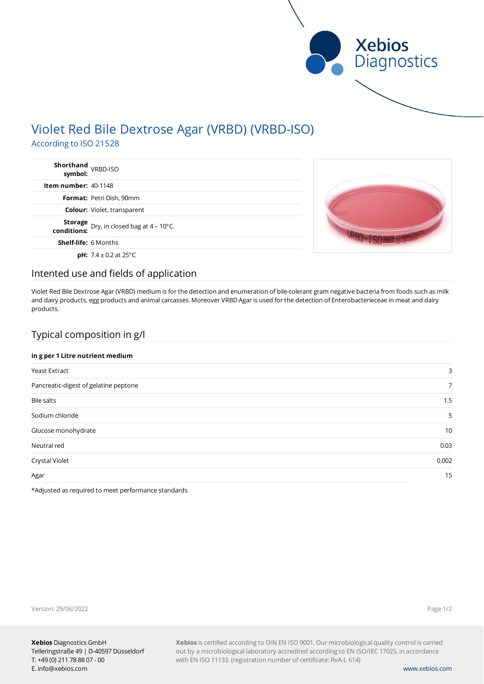

# Violet Red Bile Dextrose Agar (VRBD) (VRBD-ISO)

According to ISO 21528

| Shorthand<br>symbol: <sup>VRBD-ISO</sup>                 |  |
|----------------------------------------------------------|--|
| Item number: 40-1148                                     |  |
| <b>Format: Petri Dish, 90mm</b>                          |  |
| <b>Colour:</b> Violet, transparent                       |  |
| <b>Storage</b> Dry, in closed bag at $4 - 10^{\circ}$ C. |  |
| <b>Shelf-life: 6 Months</b>                              |  |
| <b>pH:</b> $7.4 \pm 0.2$ at 25°C                         |  |

### Intented use and fields of application

Violet Red Bile Dextrose Agar (VRBD) medium is for the detection and enumeration of bile-tolerant gram negative bacteria from foods such as milk and dairy products, egg products and animal carcasses. Moreover VRBD Agar is used for the detection of Enterobacterieceae in meat and dairy products.

# Typical composition in g/l

### **in g per 1 Litre nutrient medium**

| 3              |
|----------------|
| $\overline{7}$ |
| 1.5            |
| 5              |
| 10             |
| 0.03           |
| 0.002          |
| 15             |
|                |

\*Adjusted as required to meet performance standards

Version: 29/06/2022

Page 1/2

**Xebios** is certified according to DIN EN ISO 9001. Our microbiological quality control is carried out by a microbiological laboratory accredited according to EN ISO/IEC 17025, in accordance with EN ISO 11133. (registration number of certificate: RvA-L 614)